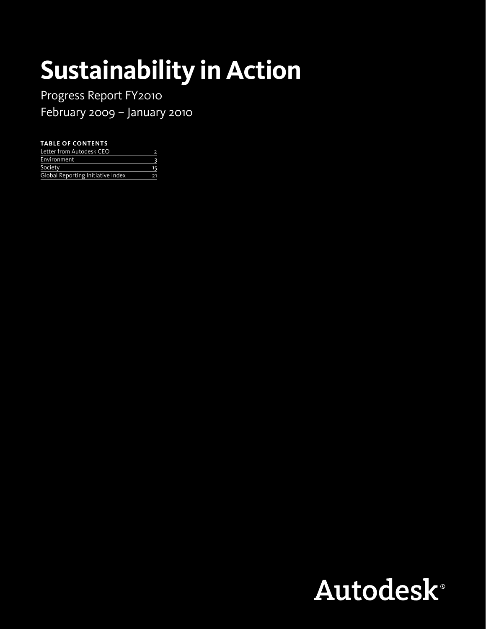# **Sustainability in Action**

Progress Report FY2010 February 2009 – January 2010

#### **Table of contents**

| Letter from Autodesk CEO          |    |
|-----------------------------------|----|
| Environment                       |    |
| Society                           |    |
| Global Reporting Initiative Index | 21 |

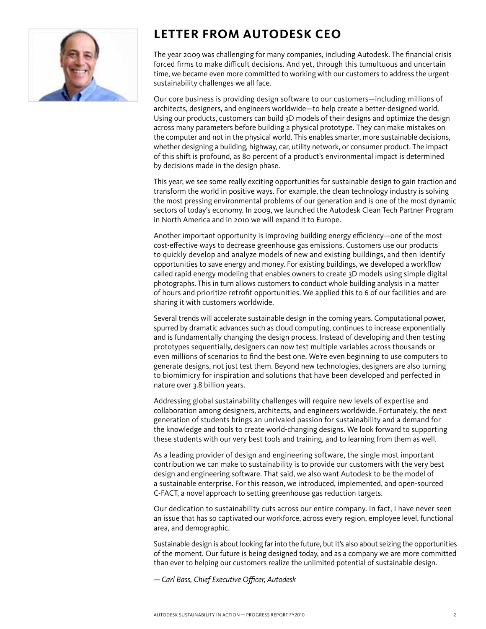

# <span id="page-1-0"></span>**Letter from Autodesk CEO**

The year 2009 was challenging for many companies, including Autodesk. The financial crisis forced firms to make difficult decisions. And yet, through this tumultuous and uncertain time, we became even more committed to working with our customers to address the urgent sustainability challenges we all face.

Our core business is providing design software to our customers—including millions of architects, designers, and engineers worldwide—to help create a better-designed world. Using our products, customers can build 3D models of their designs and optimize the design across many parameters before building a physical prototype. They can make mistakes on the computer and not in the physical world. This enables smarter, more sustainable decisions, whether designing a building, highway, car, utility network, or consumer product. The impact of this shift is profound, as 80 percent of a product's environmental impact is determined by decisions made in the design phase.

This year, we see some really exciting opportunities for sustainable design to gain traction and transform the world in positive ways. For example, the clean technology industry is solving the most pressing environmental problems of our generation and is one of the most dynamic sectors of today's economy. In 2009, we launched the Autodesk Clean Tech Partner Program in North America and in 2010 we will expand it to Europe.

Another important opportunity is improving building energy efficiency—one of the most cost-effective ways to decrease greenhouse gas emissions. Customers use our products to quickly develop and analyze models of new and existing buildings, and then identify opportunities to save energy and money. For existing buildings, we developed a workflow called rapid energy modeling that enables owners to create 3D models using simple digital photographs. This in turn allows customers to conduct whole building analysis in a matter of hours and prioritize retrofit opportunities. We applied this to 6 of our facilities and are sharing it with customers worldwide.

Several trends will accelerate sustainable design in the coming years. Computational power, spurred by dramatic advances such as cloud computing, continues to increase exponentially and is fundamentally changing the design process. Instead of developing and then testing prototypes sequentially, designers can now test multiple variables across thousands or even millions of scenarios to find the best one. We're even beginning to use computers to generate designs, not just test them. Beyond new technologies, designers are also turning to biomimicry for inspiration and solutions that have been developed and perfected in nature over 3.8 billion years.

Addressing global sustainability challenges will require new levels of expertise and collaboration among designers, architects, and engineers worldwide. Fortunately, the next generation of students brings an unrivaled passion for sustainability and a demand for the knowledge and tools to create world-changing designs. We look forward to supporting these students with our very best tools and training, and to learning from them as well.

As a leading provider of design and engineering software, the single most important contribution we can make to sustainability is to provide our customers with the very best design and engineering software. That said, we also want Autodesk to be the model of a sustainable enterprise. For this reason, we introduced, implemented, and open-sourced C-FACT, a novel approach to setting greenhouse gas reduction targets.

Our dedication to sustainability cuts across our entire company. In fact, I have never seen an issue that has so captivated our workforce, across every region, employee level, functional area, and demographic.

Sustainable design is about looking far into the future, but it's also about seizing the opportunities of the moment. Our future is being designed today, and as a company we are more committed than ever to helping our customers realize the unlimited potential of sustainable design.

*—Carl Bass, Chief Executive Officer, Autodesk*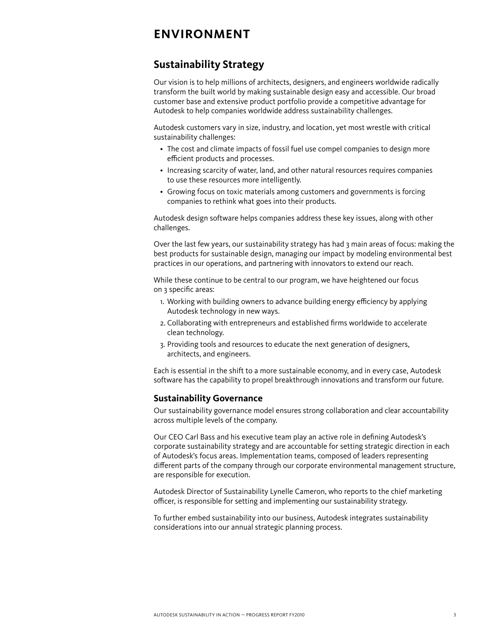## <span id="page-2-0"></span>**Environment**

## <span id="page-2-1"></span>**Sustainability Strategy**

Our vision is to help millions of architects, designers, and engineers worldwide radically transform the built world by making sustainable design easy and accessible. Our broad customer base and extensive product portfolio provide a competitive advantage for Autodesk to help companies worldwide address sustainability challenges.

Autodesk customers vary in size, industry, and location, yet most wrestle with critical sustainability challenges:

- The cost and climate impacts of fossil fuel use compel companies to design more efficient products and processes.
- Increasing scarcity of water, land, and other natural resources requires companies to use these resources more intelligently.
- Growing focus on toxic materials among customers and governments is forcing companies to rethink what goes into their products.

Autodesk design software helps companies address these key issues, along with other challenges.

Over the last few years, our sustainability strategy has had 3 main areas of focus: making the best products for sustainable design, managing our impact by modeling environmental best practices in our operations, and partnering with innovators to extend our reach.

While these continue to be central to our program, we have heightened our focus on 3 specific areas:

- 1. Working with building owners to advance building energy efficiency by applying Autodesk technology in new ways.
- 2. Collaborating with entrepreneurs and established firms worldwide to accelerate clean technology.
- 3. Providing tools and resources to educate the next generation of designers, architects, and engineers.

Each is essential in the shift to a more sustainable economy, and in every case, Autodesk software has the capability to propel breakthrough innovations and transform our future.

#### **Sustainability Governance**

Our sustainability governance model ensures strong collaboration and clear accountability across multiple levels of the company.

Our CEO Carl Bass and his executive team play an active role in defining Autodesk's corporate sustainability strategy and are accountable for setting strategic direction in each of Autodesk's focus areas. Implementation teams, composed of leaders representing different parts of the company through our corporate environmental management structure, are responsible for execution.

Autodesk Director of Sustainability Lynelle Cameron, who reports to the chief marketing officer, is responsible for setting and implementing our sustainability strategy.

To further embed sustainability into our business, Autodesk integrates sustainability considerations into our annual strategic planning process.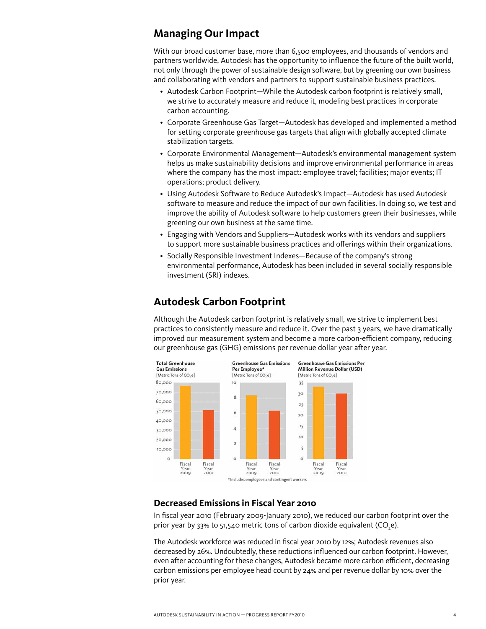## **Managing Our Impact**

With our broad customer base, more than 6,500 employees, and thousands of vendors and partners worldwide, Autodesk has the opportunity to influence the future of the built world, not only through the power of sustainable design software, but by greening our own business and collaborating with vendors and partners to support sustainable business practices.

- • Autodesk Carbon Footprint—While the Autodesk carbon footprint is relatively small, we strive to accurately measure and reduce it, modeling best practices in corporate carbon accounting.
- • Corporate Greenhouse Gas Target—Autodesk has developed and implemented a method for setting corporate greenhouse gas targets that align with globally accepted climate stabilization targets.
- • Corporate Environmental Management—Autodesk's environmental management system helps us make sustainability decisions and improve environmental performance in areas where the company has the most impact: employee travel; facilities; major events; IT operations; product delivery.
- • Using Autodesk Software to Reduce Autodesk's Impact—Autodesk has used Autodesk software to measure and reduce the impact of our own facilities. In doing so, we test and improve the ability of Autodesk software to help customers green their businesses, while greening our own business at the same time.
- • Engaging with Vendors and Suppliers—Autodesk works with its vendors and suppliers to support more sustainable business practices and offerings within their organizations.
- Socially Responsible Investment Indexes—Because of the company's strong environmental performance, Autodesk has been included in several socially responsible investment (SRI) indexes.

## <span id="page-3-0"></span>**Autodesk Carbon Footprint**

Although the Autodesk carbon footprint is relatively small, we strive to implement best practices to consistently measure and reduce it. Over the past 3 years, we have dramatically improved our measurement system and become a more carbon-efficient company, reducing our greenhouse gas (GHG) emissions per revenue dollar year after year.



#### **Decreased Emissions in Fiscal Year 2010**

In fiscal year 2010 (February 2009-January 2010), we reduced our carbon footprint over the prior year by 33% to 51,540 metric tons of carbon dioxide equivalent (CO<sub>,</sub>e).

The Autodesk workforce was reduced in fiscal year 2010 by 12%; Autodesk revenues also decreased by 26%. Undoubtedly, these reductions influenced our carbon footprint. However, even after accounting for these changes, Autodesk became more carbon efficient, decreasing carbon emissions per employee head count by 24% and per revenue dollar by 10% over the prior year.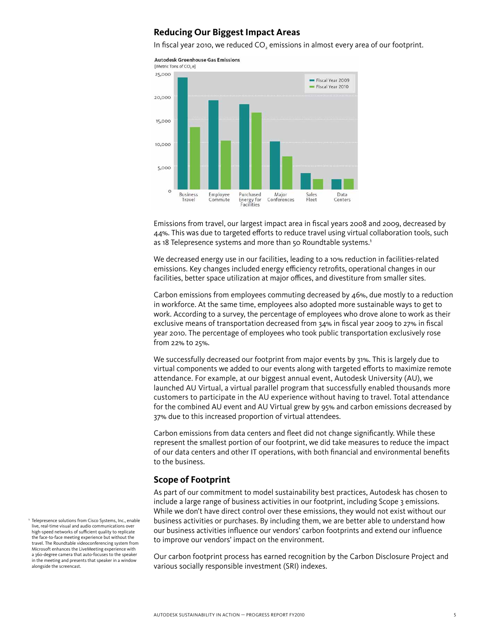#### **Reducing Our Biggest Impact Areas**

In fiscal year 2010, we reduced CO<sub>2</sub> emissions in almost every area of our footprint.



Emissions from travel, our largest impact area in fiscal years 2008 and 2009, decreased by 44%. This was due to targeted efforts to reduce travel using virtual collaboration tools, such as 18 Telepresence systems and more than 50 Roundtable systems.<sup>1</sup>

We decreased energy use in our facilities, leading to a 10% reduction in facilities-related emissions. Key changes included energy efficiency retrofits, operational changes in our facilities, better space utilization at major offices, and divestiture from smaller sites.

Carbon emissions from employees commuting decreased by 46%, due mostly to a reduction in workforce. At the same time, employees also adopted more sustainable ways to get to work. According to a survey, the percentage of employees who drove alone to work as their exclusive means of transportation decreased from 34% in fiscal year 2009 to 27% in fiscal year 2010. The percentage of employees who took public transportation exclusively rose from 22% to 25%.

We successfully decreased our footprint from major events by 31%. This is largely due to virtual components we added to our events along with targeted efforts to maximize remote attendance. For example, at our biggest annual event, Autodesk University (AU), we launched AU Virtual, a virtual parallel program that successfully enabled thousands more customers to participate in the AU experience without having to travel. Total attendance for the combined AU event and AU Virtual grew by 95% and carbon emissions decreased by 37% due to this increased proportion of virtual attendees.

Carbon emissions from data centers and fleet did not change significantly. While these represent the smallest portion of our footprint, we did take measures to reduce the impact of our data centers and other IT operations, with both financial and environmental benefits to the business.

#### **Scope of Footprint**

As part of our commitment to model sustainability best practices, Autodesk has chosen to include a large range of business activities in our footprint, including Scope 3 emissions. While we don't have direct control over these emissions, they would not exist without our business activities or purchases. By including them, we are better able to understand how our business activities influence our vendors' carbon footprints and extend our influence to improve our vendors' impact on the environment.

Our carbon footprint process has earned recognition by the Carbon Disclosure Project and various socially responsible investment (SRI) indexes.

Telepresence solutions from Cisco Systems, Inc., enable live, real-time visual and audio communications over high-speed networks of sufficient quality to replicate the face-to-face meeting experience but without the travel. The Roundtable videoconferencing system from Microsoft enhances the LiveMeeting experience with a 360-degree camera that auto-focuses to the speaker in the meeting and presents that speaker in a window alongside the screencast.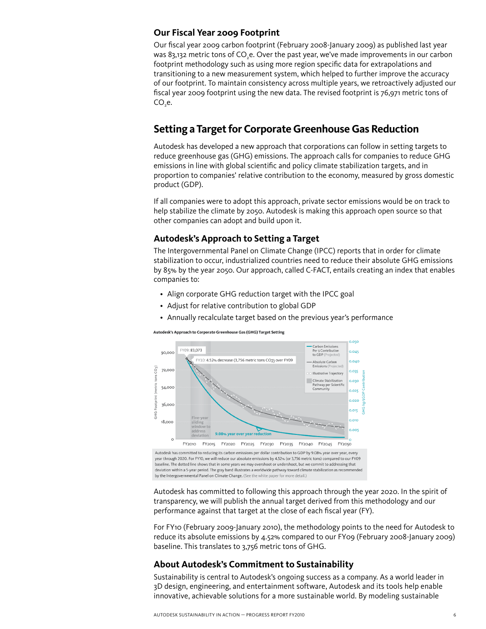#### **Our Fiscal Year 2009 Footprint**

Our fiscal year 2009 carbon footprint (February 2008-January 2009) as published last year was 83,132 metric tons of CO<sub>2</sub>e. Over the past year, we've made improvements in our carbon footprint methodology such as using more region specific data for extrapolations and transitioning to a new measurement system, which helped to further improve the accuracy of our footprint. To maintain consistency across multiple years, we retroactively adjusted our fiscal year 2009 footprint using the new data. The revised footprint is 76,971 metric tons of  $CO<sub>e</sub>$ .

## <span id="page-5-0"></span>**Setting a Target for Corporate Greenhouse Gas Reduction**

Autodesk has developed a new approach that corporations can follow in setting targets to reduce greenhouse gas (GHG) emissions. The approach calls for companies to reduce GHG emissions in line with global scientific and policy climate stabilization targets, and in proportion to companies' relative contribution to the economy, measured by gross domestic product (GDP).

If all companies were to adopt this approach, private sector emissions would be on track to help stabilize the climate by 2050. Autodesk is making this approach open source so that other companies can adopt and build upon it.

#### **Autodesk's Approach to Setting a Target**

The Intergovernmental Panel on Climate Change (IPCC) reports that in order for climate stabilization to occur, industrialized countries need to reduce their absolute GHG emissions by 85% by the year 2050. Our approach, called C-FACT, entails creating an index that enables companies to:

- Align corporate GHG reduction target with the IPCC goal
- Adjust for relative contribution to global GDP
- Annually recalculate target based on the previous year's performance

Autodesk's Approach to Corporate Greenhouse Gas (GHG) Target Setting



Autodesk has committed to reducing its carbon emissions per dollar contribution to GDP by 9.08% year over year, every year through 2020. For FY10, we will reduce our absolute emissions by 4.52% (or 3,756 metric tons) compared to our FY09 baseline. The dotted line shows that in some years we may overshoot or undershoot, but we commit to addressing that deviation within a 5-year period. The gray band illustrates a worldwide pathway toward climate stabilization as recommended by the Intergovernmental Panel on Climate Change. (See the white paper for more detail.)

Autodesk has committed to following this approach through the year 2020. In the spirit of transparency, we will publish the annual target derived from this methodology and our performance against that target at the close of each fiscal year (FY).

For FY10 (February 2009-January 2010), the methodology points to the need for Autodesk to reduce its absolute emissions by 4.52% compared to our FY09 (February 2008-January 2009) baseline. This translates to 3,756 metric tons of GHG.

#### **About Autodesk's Commitment to Sustainability**

Sustainability is central to Autodesk's ongoing success as a company. As a world leader in 3D design, engineering, and entertainment software, Autodesk and its tools help enable innovative, achievable solutions for a more sustainable world. By modeling sustainable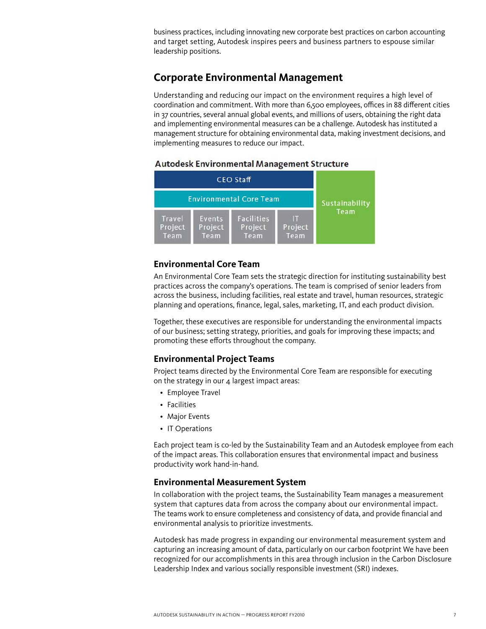business practices, including innovating new corporate best practices on carbon accounting and target setting, Autodesk inspires peers and business partners to espouse similar leadership positions.

## <span id="page-6-0"></span>**Corporate Environmental Management**

Understanding and reducing our impact on the environment requires a high level of coordination and commitment. With more than 6,500 employees, offices in 88 different cities in 37 countries, several annual global events, and millions of users, obtaining the right data and implementing environmental measures can be a challenge. Autodesk has instituted a management structure for obtaining environmental data, making investment decisions, and implementing measures to reduce our impact.

|                           |                                | <b>CEO Staff</b>                     |                      |                |
|---------------------------|--------------------------------|--------------------------------------|----------------------|----------------|
|                           | <b>Environmental Core Team</b> |                                      |                      | Sustainability |
| Travel<br>Project<br>Team | Events<br>Project<br>Team      | <b>Facilities</b><br>Project<br>Team | m<br>Project<br>Team | Team           |

#### **Autodesk Environmental Management Structure**

#### **Environmental Core Team**

An Environmental Core Team sets the strategic direction for instituting sustainability best practices across the company's operations. The team is comprised of senior leaders from across the business, including facilities, real estate and travel, human resources, strategic planning and operations, finance, legal, sales, marketing, IT, and each product division.

Together, these executives are responsible for understanding the environmental impacts of our business; setting strategy, priorities, and goals for improving these impacts; and promoting these efforts throughout the company.

#### **Environmental Project Teams**

Project teams directed by the Environmental Core Team are responsible for executing on the strategy in our  $4$  largest impact areas:

- Employee Travel
- • Facilities
- Major Events
- IT Operations

Each project team is co-led by the Sustainability Team and an Autodesk employee from each of the impact areas. This collaboration ensures that environmental impact and business productivity work hand-in-hand.

#### **Environmental Measurement System**

In collaboration with the project teams, the Sustainability Team manages a measurement system that captures data from across the company about our environmental impact. The teams work to ensure completeness and consistency of data, and provide financial and environmental analysis to prioritize investments.

Autodesk has made progress in expanding our environmental measurement system and capturing an increasing amount of data, particularly on our carbon footprint We have been recognized for our accomplishments in this area through inclusion in the Carbon Disclosure Leadership Index and various socially responsible investment (SRI) indexes.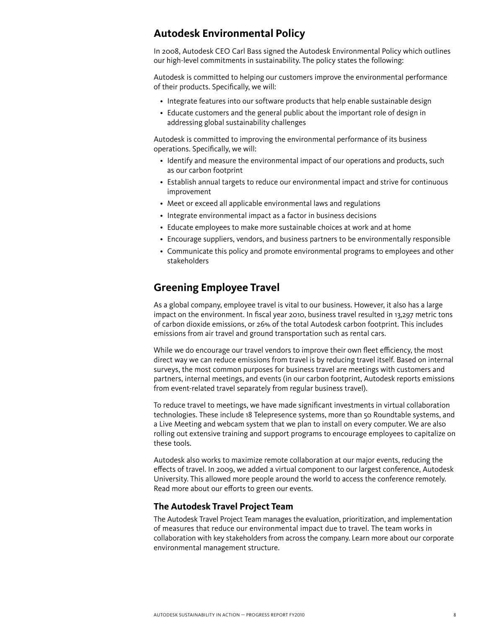## <span id="page-7-0"></span>**Autodesk Environmental Policy**

In 2008, Autodesk CEO Carl Bass signed the Autodesk Environmental Policy which outlines our high-level commitments in sustainability. The policy states the following:

Autodesk is committed to helping our customers improve the environmental performance of their products. Specifically, we will:

- Integrate features into our software products that help enable sustainable design
- Educate customers and the general public about the important role of design in addressing global sustainability challenges

Autodesk is committed to improving the environmental performance of its business operations. Specifically, we will:

- Identify and measure the environmental impact of our operations and products, such as our carbon footprint
- • Establish annual targets to reduce our environmental impact and strive for continuous improvement
- Meet or exceed all applicable environmental laws and regulations
- Integrate environmental impact as a factor in business decisions
- Educate employees to make more sustainable choices at work and at home
- • Encourage suppliers, vendors, and business partners to be environmentally responsible
- • Communicate this policy and promote environmental programs to employees and other stakeholders

## <span id="page-7-1"></span>**Greening Employee Travel**

As a global company, employee travel is vital to our business. However, it also has a large impact on the environment. In fiscal year 2010, business travel resulted in 13,297 metric tons of carbon dioxide emissions, or 26% of the total Autodesk carbon footprint. This includes emissions from air travel and ground transportation such as rental cars.

While we do encourage our travel vendors to improve their own fleet efficiency, the most direct way we can reduce emissions from travel is by reducing travel itself. Based on internal surveys, the most common purposes for business travel are meetings with customers and partners, internal meetings, and events (in our carbon footprint, Autodesk reports emissions from event-related travel separately from regular business travel).

To reduce travel to meetings, we have made significant investments in virtual collaboration technologies. These include 18 Telepresence systems, more than 50 Roundtable systems, and a Live Meeting and webcam system that we plan to install on every computer. We are also rolling out extensive training and support programs to encourage employees to capitalize on these tools.

Autodesk also works to maximize remote collaboration at our major events, reducing the effects of travel. In 2009, we added a virtual component to our largest conference, Autodesk University. This allowed more people around the world to access the conference remotely. Read more about our efforts to green our events.

#### **The Autodesk Travel Project Team**

The Autodesk Travel Project Team manages the evaluation, prioritization, and implementation of measures that reduce our environmental impact due to travel. The team works in collaboration with key stakeholders from across the company. Learn more about our corporate environmental management structure.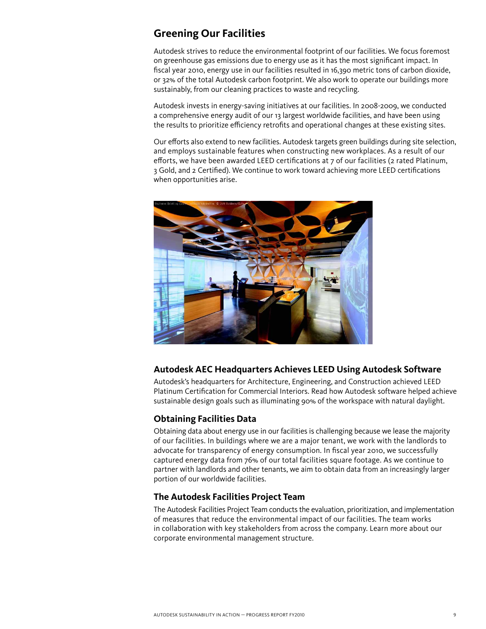## <span id="page-8-0"></span>**Greening Our Facilities**

Autodesk strives to reduce the environmental footprint of our facilities. We focus foremost on greenhouse gas emissions due to energy use as it has the most significant impact. In fiscal year 2010, energy use in our facilities resulted in 16,390 metric tons of carbon dioxide, or 32% of the total Autodesk carbon footprint. We also work to operate our buildings more sustainably, from our cleaning practices to waste and recycling.

Autodesk invests in energy-saving initiatives at our facilities. In 2008-2009, we conducted a comprehensive energy audit of our 13 largest worldwide facilities, and have been using the results to prioritize efficiency retrofits and operational changes at these existing sites.

Our efforts also extend to new facilities. Autodesk targets green buildings during site selection, and employs sustainable features when constructing new workplaces. As a result of our efforts, we have been awarded LEED certifications at 7 of our facilities (2 rated Platinum, 3 Gold, and 2 Certified). We continue to work toward achieving more LEED certifications when opportunities arise.



#### **Autodesk AEC Headquarters Achieves LEED Using Autodesk Software**

Autodesk's headquarters for Architecture, Engineering, and Construction achieved LEED Platinum Certification for Commercial Interiors. Read how Autodesk software helped achieve sustainable design goals such as illuminating 90% of the workspace with natural daylight.

#### **Obtaining Facilities Data**

Obtaining data about energy use in our facilities is challenging because we lease the majority of our facilities. In buildings where we are a major tenant, we work with the landlords to advocate for transparency of energy consumption. In fiscal year 2010, we successfully captured energy data from 76% of our total facilities square footage. As we continue to partner with landlords and other tenants, we aim to obtain data from an increasingly larger portion of our worldwide facilities.

#### **The Autodesk Facilities Project Team**

The Autodesk Facilities Project Team conducts the evaluation, prioritization, and implementation of measures that reduce the environmental impact of our facilities. The team works in collaboration with key stakeholders from across the company. Learn more about our corporate environmental management structure.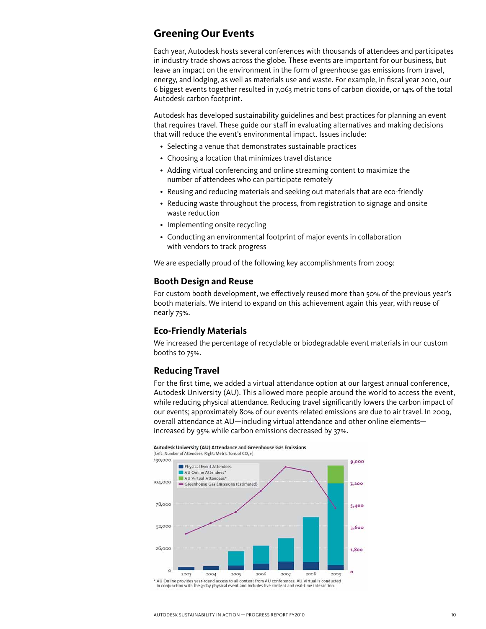### <span id="page-9-0"></span>**Greening Our Events**

Each year, Autodesk hosts several conferences with thousands of attendees and participates in industry trade shows across the globe. These events are important for our business, but leave an impact on the environment in the form of greenhouse gas emissions from travel, energy, and lodging, as well as materials use and waste. For example, in fiscal year 2010, our 6 biggest events together resulted in 7,063 metric tons of carbon dioxide, or 14% of the total Autodesk carbon footprint.

Autodesk has developed sustainability guidelines and best practices for planning an event that requires travel. These guide our staff in evaluating alternatives and making decisions that will reduce the event's environmental impact. Issues include:

- Selecting a venue that demonstrates sustainable practices
- Choosing a location that minimizes travel distance
- Adding virtual conferencing and online streaming content to maximize the number of attendees who can participate remotely
- Reusing and reducing materials and seeking out materials that are eco-friendly
- Reducing waste throughout the process, from registration to signage and onsite waste reduction
- Implementing onsite recycling
- Conducting an environmental footprint of major events in collaboration with vendors to track progress

We are especially proud of the following key accomplishments from 2009:

#### **Booth Design and Reuse**

For custom booth development, we effectively reused more than 50% of the previous year's booth materials. We intend to expand on this achievement again this year, with reuse of nearly 75%.

#### **Eco-Friendly Materials**

We increased the percentage of recyclable or biodegradable event materials in our custom booths to 75%.

#### **Reducing Travel**

For the first time, we added a virtual attendance option at our largest annual conference, Autodesk University (AU). This allowed more people around the world to access the event, while reducing physical attendance. Reducing travel significantly lowers the carbon impact of our events; approximately 80% of our events-related emissions are due to air travel. In 2009, overall attendance at AU—including virtual attendance and other online elements increased by 95% while carbon emissions decreased by 37%.

#### Autodesk University (AU) Attendance and Greenhouse Gas Emissions

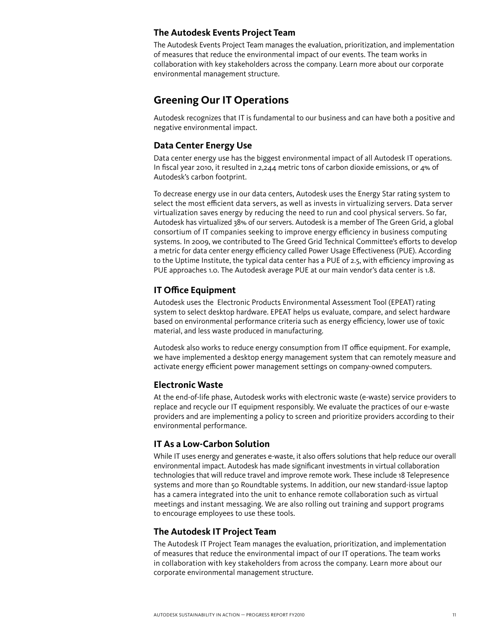#### **The Autodesk Events Project Team**

The Autodesk Events Project Team manages the evaluation, prioritization, and implementation of measures that reduce the environmental impact of our events. The team works in collaboration with key stakeholders across the company. Learn more about our corporate environmental management structure.

## <span id="page-10-0"></span>**Greening Our IT Operations**

Autodesk recognizes that IT is fundamental to our business and can have both a positive and negative environmental impact.

#### **Data Center Energy Use**

Data center energy use has the biggest environmental impact of all Autodesk IT operations. In fiscal year 2010, it resulted in 2,244 metric tons of carbon dioxide emissions, or 4% of Autodesk's carbon footprint.

To decrease energy use in our data centers, Autodesk uses the Energy Star rating system to select the most efficient data servers, as well as invests in virtualizing servers. Data server virtualization saves energy by reducing the need to run and cool physical servers. So far, Autodesk has virtualized 38% of our servers. Autodesk is a member of The Green Grid, a global consortium of IT companies seeking to improve energy efficiency in business computing systems. In 2009, we contributed to The Greed Grid Technical Committee's efforts to develop a metric for data center energy efficiency called Power Usage Effectiveness (PUE). According to the Uptime Institute, the typical data center has a PUE of 2.5, with efficiency improving as PUE approaches 1.0. The Autodesk average PUE at our main vendor's data center is 1.8.

#### **IT Office Equipment**

Autodesk uses the Electronic Products Environmental Assessment Tool (EPEAT) rating system to select desktop hardware. EPEAT helps us evaluate, compare, and select hardware based on environmental performance criteria such as energy efficiency, lower use of toxic material, and less waste produced in manufacturing.

Autodesk also works to reduce energy consumption from IT office equipment. For example, we have implemented a desktop energy management system that can remotely measure and activate energy efficient power management settings on company-owned computers.

#### **Electronic Waste**

At the end-of-life phase, Autodesk works with electronic waste (e-waste) service providers to replace and recycle our IT equipment responsibly. We evaluate the practices of our e-waste providers and are implementing a policy to screen and prioritize providers according to their environmental performance.

#### **IT As a Low-Carbon Solution**

While IT uses energy and generates e-waste, it also offers solutions that help reduce our overall environmental impact. Autodesk has made significant investments in virtual collaboration technologies that will reduce travel and improve remote work. These include 18 Telepresence systems and more than 50 Roundtable systems. In addition, our new standard-issue laptop has a camera integrated into the unit to enhance remote collaboration such as virtual meetings and instant messaging. We are also rolling out training and support programs to encourage employees to use these tools.

#### **The Autodesk IT Project Team**

The Autodesk IT Project Team manages the evaluation, prioritization, and implementation of measures that reduce the environmental impact of our IT operations. The team works in collaboration with key stakeholders from across the company. Learn more about our corporate environmental management structure.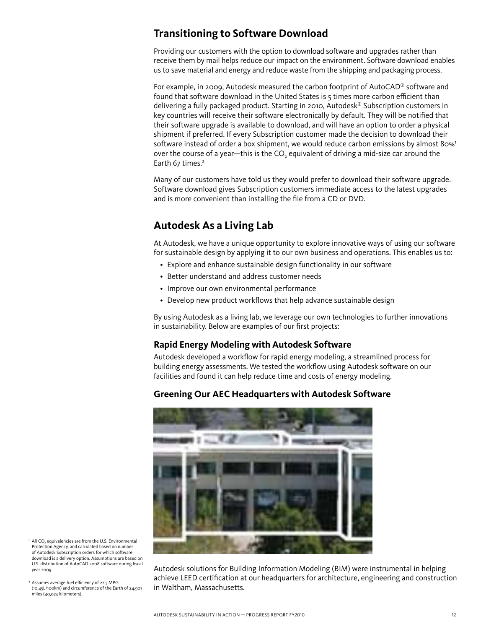## <span id="page-11-1"></span>**Transitioning to Software Download**

Providing our customers with the option to download software and upgrades rather than receive them by mail helps reduce our impact on the environment. Software download enables us to save material and energy and reduce waste from the shipping and packaging process.

For example, in 2009, Autodesk measured the carbon footprint of AutoCAD® software and found that software download in the United States is 5 times more carbon efficient than delivering a fully packaged product. Starting in 2010, Autodesk® Subscription customers in key countries will receive their software electronically by default. They will be notified that their software upgrade is available to download, and will have an option to order a physical shipment if preferred. If every Subscription customer made the decision to download their software instead of order a box shipment, we would reduce carbon emissions by almost 80%<sup>1</sup> over the course of a year—this is the CO<sub>2</sub> equivalent of driving a mid-size car around the Earth 67 times.²

Many of our customers have told us they would prefer to download their software upgrade. Software download gives Subscription customers immediate access to the latest upgrades and is more convenient than installing the file from a CD or DVD.

## <span id="page-11-0"></span>**Autodesk As a Living Lab**

At Autodesk, we have a unique opportunity to explore innovative ways of using our software for sustainable design by applying it to our own business and operations. This enables us to:

- Explore and enhance sustainable design functionality in our software
- • Better understand and address customer needs
- Improve our own environmental performance
- Develop new product workflows that help advance sustainable design

By using Autodesk as a living lab, we leverage our own technologies to further innovations in sustainability. Below are examples of our first projects:

#### **Rapid Energy Modeling with Autodesk Software**

Autodesk developed a workflow for rapid energy modeling, a streamlined process for building energy assessments. We tested the workflow using Autodesk software on our facilities and found it can help reduce time and costs of energy modeling.

#### **Greening Our AEC Headquarters with Autodesk Software**



- $\cdot$  All CO<sub>2</sub> equivalencies are from the U.S. Environmental Protection Agency, and calculated based on number of Autodesk Subscription orders for which software download is a delivery option. Assumptions are based on U.S. distribution of AutoCAD 2008 software during fiscal year 2009.
- ² Assumes average fuel efficiency of 22.5 MPG (10.45L/100km) and circumference of the Earth of 24,901 miles (40,074 kilometers).

Autodesk solutions for Building Information Modeling (BIM) were instrumental in helping achieve LEED certification at our headquarters for architecture, engineering and construction in Waltham, Massachusetts.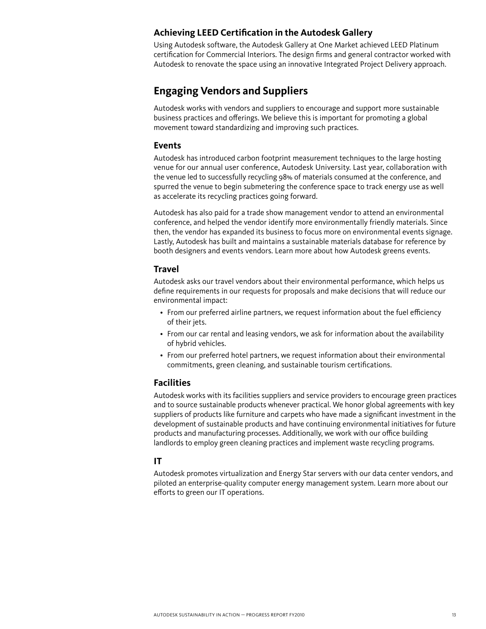#### **Achieving LEED Certification in the Autodesk Gallery**

Using Autodesk software, the Autodesk Gallery at One Market achieved LEED Platinum certification for Commercial Interiors. The design firms and general contractor worked with Autodesk to renovate the space using an innovative Integrated Project Delivery approach.

## **Engaging Vendors and Suppliers**

Autodesk works with vendors and suppliers to encourage and support more sustainable business practices and offerings. We believe this is important for promoting a global movement toward standardizing and improving such practices.

#### **Events**

Autodesk has introduced carbon footprint measurement techniques to the large hosting venue for our annual user conference, Autodesk University. Last year, collaboration with the venue led to successfully recycling 98% of materials consumed at the conference, and spurred the venue to begin submetering the conference space to track energy use as well as accelerate its recycling practices going forward.

Autodesk has also paid for a trade show management vendor to attend an environmental conference, and helped the vendor identify more environmentally friendly materials. Since then, the vendor has expanded its business to focus more on environmental events signage. Lastly, Autodesk has built and maintains a sustainable materials database for reference by booth designers and events vendors. Learn more about how Autodesk greens events.

#### **Travel**

Autodesk asks our travel vendors about their environmental performance, which helps us define requirements in our requests for proposals and make decisions that will reduce our environmental impact:

- • From our preferred airline partners, we request information about the fuel efficiency of their jets.
- • From our car rental and leasing vendors, we ask for information about the availability of hybrid vehicles.
- • From our preferred hotel partners, we request information about their environmental commitments, green cleaning, and sustainable tourism certifications.

#### **Facilities**

Autodesk works with its facilities suppliers and service providers to encourage green practices and to source sustainable products whenever practical. We honor global agreements with key suppliers of products like furniture and carpets who have made a significant investment in the development of sustainable products and have continuing environmental initiatives for future products and manufacturing processes. Additionally, we work with our office building landlords to employ green cleaning practices and implement waste recycling programs.

#### **IT**

Autodesk promotes virtualization and Energy Star servers with our data center vendors, and piloted an enterprise-quality computer energy management system. Learn more about our efforts to green our IT operations.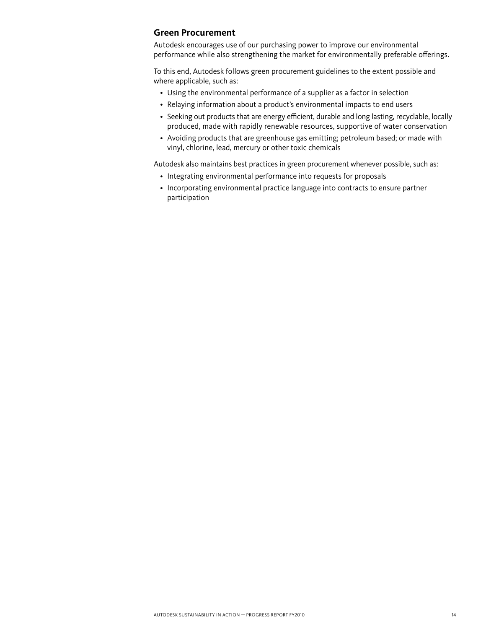#### **Green Procurement**

Autodesk encourages use of our purchasing power to improve our environmental performance while also strengthening the market for environmentally preferable offerings.

To this end, Autodesk follows green procurement guidelines to the extent possible and where applicable, such as:

- Using the environmental performance of a supplier as a factor in selection
- Relaying information about a product's environmental impacts to end users
- Seeking out products that are energy efficient, durable and long lasting, recyclable, locally produced, made with rapidly renewable resources, supportive of water conservation
- • Avoiding products that are greenhouse gas emitting; petroleum based; or made with vinyl, chlorine, lead, mercury or other toxic chemicals

Autodesk also maintains best practices in green procurement whenever possible, such as:

- Integrating environmental performance into requests for proposals
- Incorporating environmental practice language into contracts to ensure partner participation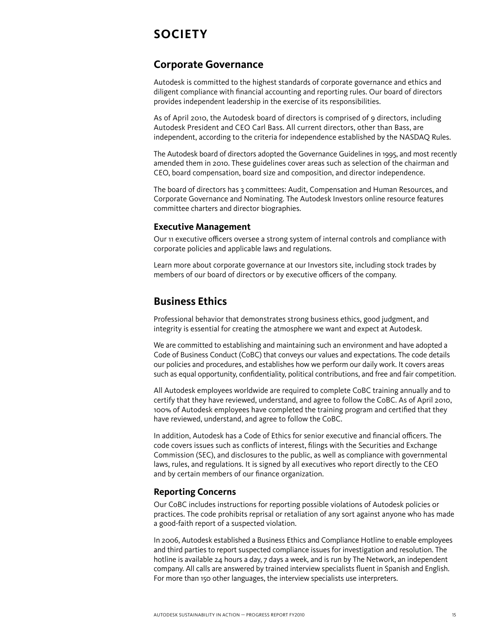# <span id="page-14-0"></span>**Society**

## <span id="page-14-1"></span>**Corporate Governance**

Autodesk is committed to the highest standards of corporate governance and ethics and diligent compliance with financial accounting and reporting rules. Our board of directors provides independent leadership in the exercise of its responsibilities.

As of April 2010, the Autodesk board of directors is comprised of 9 directors, including Autodesk President and CEO Carl Bass. All current directors, other than Bass, are independent, according to the criteria for independence established by the NASDAQ Rules.

The Autodesk board of directors adopted the Governance Guidelines in 1995, and most recently amended them in 2010. These guidelines cover areas such as selection of the chairman and CEO, board compensation, board size and composition, and director independence.

The board of directors has 3 committees: Audit, Compensation and Human Resources, and Corporate Governance and Nominating. The Autodesk Investors online resource features committee charters and director biographies.

#### **Executive Management**

Our 11 executive officers oversee a strong system of internal controls and compliance with corporate policies and applicable laws and regulations.

Learn more about corporate governance at our Investors site, including stock trades by members of our board of directors or by executive officers of the company.

## <span id="page-14-2"></span>**Business Ethics**

Professional behavior that demonstrates strong business ethics, good judgment, and integrity is essential for creating the atmosphere we want and expect at Autodesk.

We are committed to establishing and maintaining such an environment and have adopted a Code of Business Conduct (CoBC) that conveys our values and expectations. The code details our policies and procedures, and establishes how we perform our daily work. It covers areas such as equal opportunity, confidentiality, political contributions, and free and fair competition.

All Autodesk employees worldwide are required to complete CoBC training annually and to certify that they have reviewed, understand, and agree to follow the CoBC. As of April 2010, 100% of Autodesk employees have completed the training program and certified that they have reviewed, understand, and agree to follow the CoBC.

In addition, Autodesk has a Code of Ethics for senior executive and financial officers. The code covers issues such as conflicts of interest, filings with the Securities and Exchange Commission (SEC), and disclosures to the public, as well as compliance with governmental laws, rules, and regulations. It is signed by all executives who report directly to the CEO and by certain members of our finance organization.

#### **Reporting Concerns**

Our CoBC includes instructions for reporting possible violations of Autodesk policies or practices. The code prohibits reprisal or retaliation of any sort against anyone who has made a good-faith report of a suspected violation.

In 2006, Autodesk established a Business Ethics and Compliance Hotline to enable employees and third parties to report suspected compliance issues for investigation and resolution. The hotline is available 24 hours a day, 7 days a week, and is run by The Network, an independent company. All calls are answered by trained interview specialists fluent in Spanish and English. For more than 150 other languages, the interview specialists use interpreters.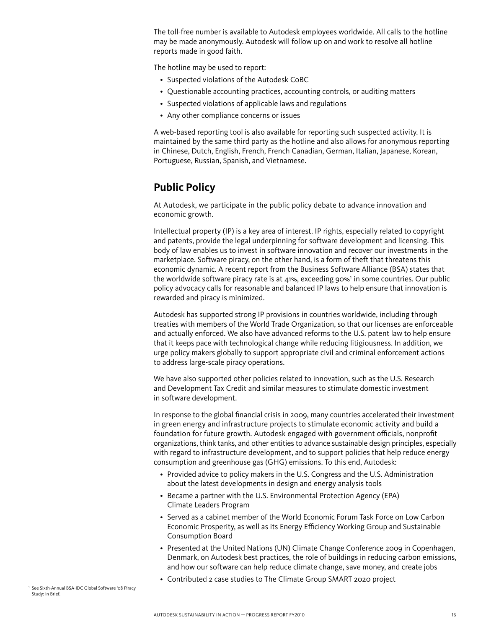The toll-free number is available to Autodesk employees worldwide. All calls to the hotline may be made anonymously. Autodesk will follow up on and work to resolve all hotline reports made in good faith.

The hotline may be used to report:

- Suspected violations of the Autodesk CoBC
- Questionable accounting practices, accounting controls, or auditing matters
- Suspected violations of applicable laws and regulations
- Any other compliance concerns or issues

A web-based reporting tool is also available for reporting such suspected activity. It is maintained by the same third party as the hotline and also allows for anonymous reporting in Chinese, Dutch, English, French, French Canadian, German, Italian, Japanese, Korean, Portuguese, Russian, Spanish, and Vietnamese.

## <span id="page-15-0"></span>**Public Policy**

At Autodesk, we participate in the public policy debate to advance innovation and economic growth.

Intellectual property (IP) is a key area of interest. IP rights, especially related to copyright and patents, provide the legal underpinning for software development and licensing. This body of law enables us to invest in software innovation and recover our investments in the marketplace. Software piracy, on the other hand, is a form of theft that threatens this economic dynamic. A recent report from the Business Software Alliance (BSA) states that the worldwide software piracy rate is at 41%, exceeding 90%<sup>1</sup> in some countries. Our public policy advocacy calls for reasonable and balanced IP laws to help ensure that innovation is rewarded and piracy is minimized.

Autodesk has supported strong IP provisions in countries worldwide, including through treaties with members of the World Trade Organization, so that our licenses are enforceable and actually enforced. We also have advanced reforms to the U.S. patent law to help ensure that it keeps pace with technological change while reducing litigiousness. In addition, we urge policy makers globally to support appropriate civil and criminal enforcement actions to address large-scale piracy operations.

We have also supported other policies related to innovation, such as the U.S. Research and Development Tax Credit and similar measures to stimulate domestic investment in software development.

In response to the global financial crisis in 2009, many countries accelerated their investment in green energy and infrastructure projects to stimulate economic activity and build a foundation for future growth. Autodesk engaged with government officials, nonprofit organizations, think tanks, and other entities to advance sustainable design principles, especially with regard to infrastructure development, and to support policies that help reduce energy consumption and greenhouse gas (GHG) emissions. To this end, Autodesk:

- Provided advice to policy makers in the U.S. Congress and the U.S. Administration about the latest developments in design and energy analysis tools
- Became a partner with the U.S. Environmental Protection Agency (EPA) Climate Leaders Program
- • Served as a cabinet member of the World Economic Forum Task Force on Low Carbon Economic Prosperity, as well as its Energy Efficiency Working Group and Sustainable Consumption Board
- Presented at the United Nations (UN) Climate Change Conference 2009 in Copenhagen, Denmark, on Autodesk best practices, the role of buildings in reducing carbon emissions, and how our software can help reduce climate change, save money, and create jobs
- Contributed 2 case studies to The Climate Group SMART 2020 project

<sup>1</sup> See Sixth-Annual BSA-IDC Global Software '08 Piracy Study: In Brief.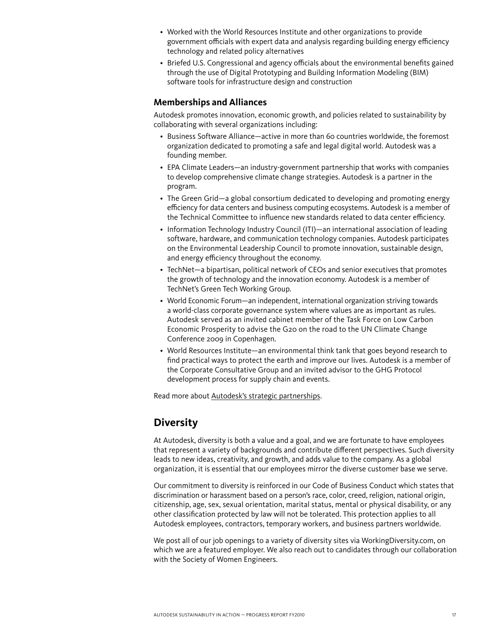- • Worked with the World Resources Institute and other organizations to provide government officials with expert data and analysis regarding building energy efficiency technology and related policy alternatives
- • Briefed U.S. Congressional and agency officials about the environmental benefits gained through the use of Digital Prototyping and Building Information Modeling (BIM) software tools for infrastructure design and construction

#### **Memberships and Alliances**

Autodesk promotes innovation, economic growth, and policies related to sustainability by collaborating with several organizations including:

- • Business Software Alliance—active in more than 60 countries worldwide, the foremost organization dedicated to promoting a safe and legal digital world. Autodesk was a founding member.
- • EPA Climate Leaders—an industry-government partnership that works with companies to develop comprehensive climate change strategies. Autodesk is a partner in the program.
- The Green Grid—a global consortium dedicated to developing and promoting energy efficiency for data centers and business computing ecosystems. Autodesk is a member of the Technical Committee to influence new standards related to data center efficiency.
- Information Technology Industry Council (ITI)—an international association of leading software, hardware, and communication technology companies. Autodesk participates on the Environmental Leadership Council to promote innovation, sustainable design, and energy efficiency throughout the economy.
- • TechNet—a bipartisan, political network of CEOs and senior executives that promotes the growth of technology and the innovation economy. Autodesk is a member of TechNet's Green Tech Working Group.
- World Economic Forum—an independent, international organization striving towards a world-class corporate governance system where values are as important as rules. Autodesk served as an invited cabinet member of the Task Force on Low Carbon Economic Prosperity to advise the G20 on the road to the UN Climate Change Conference 2009 in Copenhagen.
- • World Resources Institute—an environmental think tank that goes beyond research to find practical ways to protect the earth and improve our lives. Autodesk is a member of the Corporate Consultative Group and an invited advisor to the GHG Protocol development process for supply chain and events.

Read more about [Autodesk's strategic partnerships.](http://usa.autodesk.com/adsk/servlet/pc/index?siteID=123112&id=14975603)

## <span id="page-16-0"></span>**Diversity**

At Autodesk, diversity is both a value and a goal, and we are fortunate to have employees that represent a variety of backgrounds and contribute different perspectives. Such diversity leads to new ideas, creativity, and growth, and adds value to the company. As a global organization, it is essential that our employees mirror the diverse customer base we serve.

Our commitment to diversity is reinforced in our Code of Business Conduct which states that discrimination or harassment based on a person's race, color, creed, religion, national origin, citizenship, age, sex, sexual orientation, marital status, mental or physical disability, or any other classification protected by law will not be tolerated. This protection applies to all Autodesk employees, contractors, temporary workers, and business partners worldwide.

We post all of our job openings to a variety of diversity sites via WorkingDiversity.com, on which we are a featured employer. We also reach out to candidates through our collaboration with the Society of Women Engineers.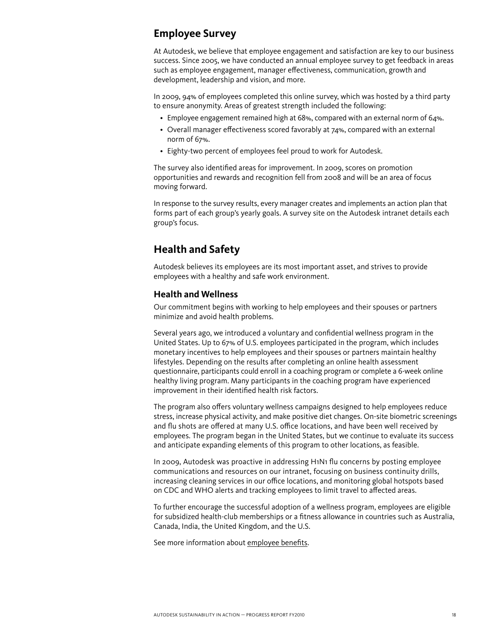## <span id="page-17-0"></span>**Employee Survey**

At Autodesk, we believe that employee engagement and satisfaction are key to our business success. Since 2005, we have conducted an annual employee survey to get feedback in areas such as employee engagement, manager effectiveness, communication, growth and development, leadership and vision, and more.

In 2009, 94% of employees completed this online survey, which was hosted by a third party to ensure anonymity. Areas of greatest strength included the following:

- Employee engagement remained high at 68%, compared with an external norm of 64%.
- Overall manager effectiveness scored favorably at 74%, compared with an external norm of 67%.
- Eighty-two percent of employees feel proud to work for Autodesk.

The survey also identified areas for improvement. In 2009, scores on promotion opportunities and rewards and recognition fell from 2008 and will be an area of focus moving forward.

In response to the survey results, every manager creates and implements an action plan that forms part of each group's yearly goals. A survey site on the Autodesk intranet details each group's focus.

## <span id="page-17-1"></span>**Health and Safety**

Autodesk believes its employees are its most important asset, and strives to provide employees with a healthy and safe work environment.

#### **Health and Wellness**

Our commitment begins with working to help employees and their spouses or partners minimize and avoid health problems.

Several years ago, we introduced a voluntary and confidential wellness program in the United States. Up to 67% of U.S. employees participated in the program, which includes monetary incentives to help employees and their spouses or partners maintain healthy lifestyles. Depending on the results after completing an online health assessment questionnaire, participants could enroll in a coaching program or complete a 6-week online healthy living program. Many participants in the coaching program have experienced improvement in their identified health risk factors.

The program also offers voluntary wellness campaigns designed to help employees reduce stress, increase physical activity, and make positive diet changes. On-site biometric screenings and flu shots are offered at many U.S. office locations, and have been well received by employees. The program began in the United States, but we continue to evaluate its success and anticipate expanding elements of this program to other locations, as feasible.

In 2009, Autodesk was proactive in addressing H1N1 flu concerns by posting employee communications and resources on our intranet, focusing on business continuity drills, increasing cleaning services in our office locations, and monitoring global hotspots based on CDC and WHO alerts and tracking employees to limit travel to affected areas.

To further encourage the successful adoption of a wellness program, employees are eligible for subsidized health-club memberships or a fitness allowance in countries such as Australia, Canada, India, the United Kingdom, and the U.S.

See more information about [employee benefits](http://usa.autodesk.com/adsk/servlet/index?siteID=123112&id=6133259).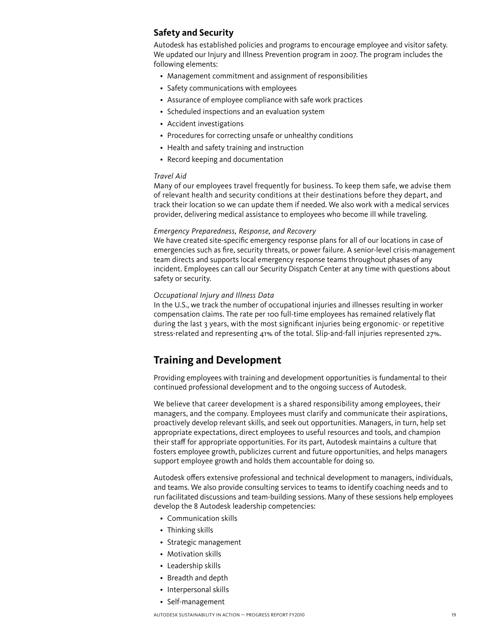#### **Safety and Security**

Autodesk has established policies and programs to encourage employee and visitor safety. We updated our Injury and Illness Prevention program in 2007. The program includes the following elements:

- Management commitment and assignment of responsibilities
- Safety communications with employees
- Assurance of employee compliance with safe work practices
- Scheduled inspections and an evaluation system
- • Accident investigations
- Procedures for correcting unsafe or unhealthy conditions
- Health and safety training and instruction
- Record keeping and documentation

#### *Travel Aid*

Many of our employees travel frequently for business. To keep them safe, we advise them of relevant health and security conditions at their destinations before they depart, and track their location so we can update them if needed. We also work with a medical services provider, delivering medical assistance to employees who become ill while traveling.

#### *Emergency Preparedness, Response, and Recovery*

We have created site-specific emergency response plans for all of our locations in case of emergencies such as fire, security threats, or power failure. A senior-level crisis-management team directs and supports local emergency response teams throughout phases of any incident. Employees can call our Security Dispatch Center at any time with questions about safety or security.

#### *Occupational Injury and Illness Data*

In the U.S., we track the number of occupational injuries and illnesses resulting in worker compensation claims. The rate per 100 full-time employees has remained relatively flat during the last 3 years, with the most significant injuries being ergonomic- or repetitive stress-related and representing 41% of the total. Slip-and-fall injuries represented 27%.

## <span id="page-18-0"></span>**Training and Development**

Providing employees with training and development opportunities is fundamental to their continued professional development and to the ongoing success of Autodesk.

We believe that career development is a shared responsibility among employees, their managers, and the company. Employees must clarify and communicate their aspirations, proactively develop relevant skills, and seek out opportunities. Managers, in turn, help set appropriate expectations, direct employees to useful resources and tools, and champion their staff for appropriate opportunities. For its part, Autodesk maintains a culture that fosters employee growth, publicizes current and future opportunities, and helps managers support employee growth and holds them accountable for doing so.

Autodesk offers extensive professional and technical development to managers, individuals, and teams. We also provide consulting services to teams to identify coaching needs and to run facilitated discussions and team-building sessions. Many of these sessions help employees develop the 8 Autodesk leadership competencies:

- Communication skills
- Thinking skills
- Strategic management
- Motivation skills
- Leadership skills
- • Breadth and depth
- Interpersonal skills
- Self-management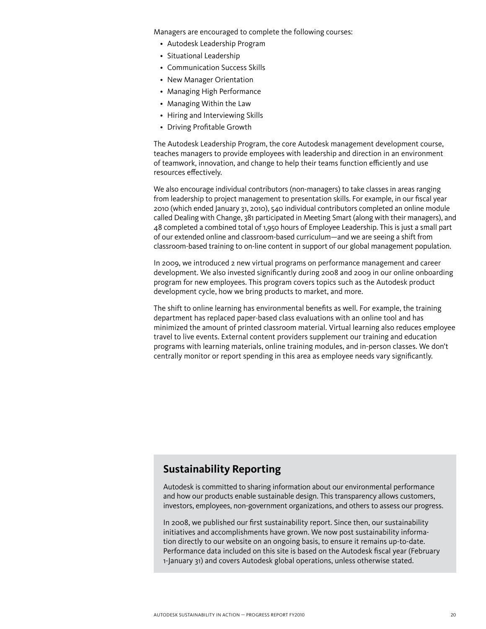Managers are encouraged to complete the following courses:

- Autodesk Leadership Program
- • Situational Leadership
- Communication Success Skills
- New Manager Orientation
- • Managing High Performance
- Managing Within the Law
- Hiring and Interviewing Skills
- • Driving Profitable Growth

The Autodesk Leadership Program, the core Autodesk management development course, teaches managers to provide employees with leadership and direction in an environment of teamwork, innovation, and change to help their teams function efficiently and use resources effectively.

We also encourage individual contributors (non-managers) to take classes in areas ranging from leadership to project management to presentation skills. For example, in our fiscal year 2010 (which ended January 31, 2010), 540 individual contributors completed an online module called Dealing with Change, 381 participated in Meeting Smart (along with their managers), and 48 completed a combined total of 1,950 hours of Employee Leadership. This is just a small part of our extended online and classroom-based curriculum—and we are seeing a shift from classroom-based training to on-line content in support of our global management population.

In 2009, we introduced 2 new virtual programs on performance management and career development. We also invested significantly during 2008 and 2009 in our online onboarding program for new employees. This program covers topics such as the Autodesk product development cycle, how we bring products to market, and more.

The shift to online learning has environmental benefits as well. For example, the training department has replaced paper-based class evaluations with an online tool and has minimized the amount of printed classroom material. Virtual learning also reduces employee travel to live events. External content providers supplement our training and education programs with learning materials, online training modules, and in-person classes. We don't centrally monitor or report spending in this area as employee needs vary significantly.

## <span id="page-19-0"></span>**Sustainability Reporting**

Autodesk is committed to sharing information about our environmental performance and how our products enable sustainable design. This transparency allows customers, investors, employees, non-government organizations, and others to assess our progress.

In 2008, we published our first sustainability report. Since then, our sustainability initiatives and accomplishments have grown. We now post sustainability information directly to our website on an ongoing basis, to ensure it remains up-to-date. Performance data included on this site is based on the Autodesk fiscal year (February 1-January 31) and covers Autodesk global operations, unless otherwise stated.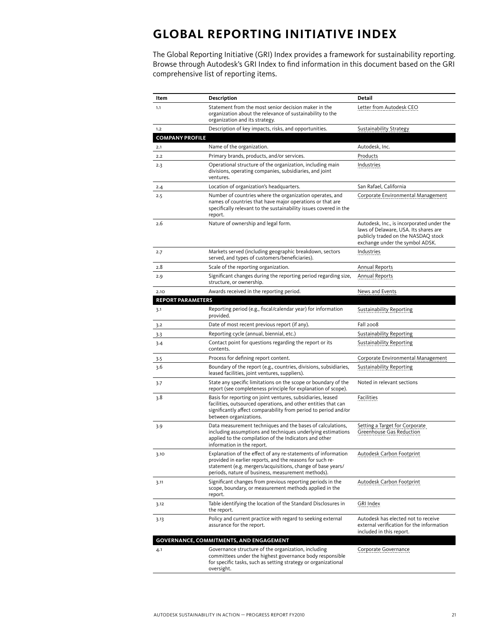# <span id="page-20-0"></span>**Global Reporting Initiative Index**

The Global Reporting Initiative (GRI) Index provides a framework for sustainability reporting. Browse through Autodesk's GRI Index to find information in this document based on the GRI comprehensive list of reporting items.

| Item                     | Description                                                                                                                                                                                                                                     | Detail                                                                                                                                                       |
|--------------------------|-------------------------------------------------------------------------------------------------------------------------------------------------------------------------------------------------------------------------------------------------|--------------------------------------------------------------------------------------------------------------------------------------------------------------|
| 1.1                      | Statement from the most senior decision maker in the<br>organization about the relevance of sustainability to the<br>organization and its strategy.                                                                                             | Letter from Autodesk CEO                                                                                                                                     |
| 1.2                      | Description of key impacts, risks, and opportunities.                                                                                                                                                                                           | Sustainability Strategy                                                                                                                                      |
| <b>COMPANY PROFILE</b>   |                                                                                                                                                                                                                                                 |                                                                                                                                                              |
| 2.1                      | Name of the organization.                                                                                                                                                                                                                       | Autodesk, Inc.                                                                                                                                               |
| 2.2                      | Primary brands, products, and/or services.                                                                                                                                                                                                      | Products                                                                                                                                                     |
| 2.3                      | Operational structure of the organization, including main<br>divisions, operating companies, subsidiaries, and joint<br>ventures.                                                                                                               | Industries                                                                                                                                                   |
| 2.4                      | Location of organization's headquarters.                                                                                                                                                                                                        | San Rafael, California                                                                                                                                       |
| 2.5                      | Number of countries where the organization operates, and<br>names of countries that have major operations or that are<br>specifically relevant to the sustainability issues covered in the<br>report.                                           | Corporate Environmental Management                                                                                                                           |
| 2.6                      | Nature of ownership and legal form.                                                                                                                                                                                                             | Autodesk, Inc., is incorporated under the<br>laws of Delaware, USA. Its shares are<br>publicly traded on the NASDAQ stock<br>exchange under the symbol ADSK. |
| 2.7                      | Markets served (including geographic breakdown, sectors<br>served, and types of customers/beneficiaries).                                                                                                                                       | Industries                                                                                                                                                   |
| 2.8                      | Scale of the reporting organization.                                                                                                                                                                                                            | <b>Annual Reports</b>                                                                                                                                        |
| 2.9                      | Significant changes during the reporting period regarding size,<br>structure, or ownership.                                                                                                                                                     | Annual Reports                                                                                                                                               |
| 2.10                     | Awards received in the reporting period.                                                                                                                                                                                                        | News and Events                                                                                                                                              |
| <b>REPORT PARAMETERS</b> |                                                                                                                                                                                                                                                 |                                                                                                                                                              |
| 3.1                      | Reporting period (e.g., fiscal/calendar year) for information<br>provided.                                                                                                                                                                      | <b>Sustainability Reporting</b>                                                                                                                              |
| 3.2                      | Date of most recent previous report (if any).                                                                                                                                                                                                   | Fall 2008                                                                                                                                                    |
| 3.3                      | Reporting cycle (annual, biennial, etc.)                                                                                                                                                                                                        | Sustainability Reporting                                                                                                                                     |
| $3-4$                    | Contact point for questions regarding the report or its<br>contents.                                                                                                                                                                            | <b>Sustainability Reporting</b>                                                                                                                              |
| 3.5                      | Process for defining report content.                                                                                                                                                                                                            | Corporate Environmental Management                                                                                                                           |
| 3.6                      | Boundary of the report (e.g., countries, divisions, subsidiaries,<br>leased facilities, joint ventures, suppliers).                                                                                                                             | <b>Sustainability Reporting</b>                                                                                                                              |
| 3.7                      | State any specific limitations on the scope or boundary of the<br>report (see completeness principle for explanation of scope).                                                                                                                 | Noted in relevant sections                                                                                                                                   |
| 3.8                      | Basis for reporting on joint ventures, subsidiaries, leased<br>facilities, outsourced operations, and other entities that can<br>significantly affect comparability from period to period and/or<br>between organizations.                      | Facilities                                                                                                                                                   |
| 3.9                      | Data measurement techniques and the bases of calculations,<br>including assumptions and techniques underlying estimations<br>applied to the compilation of the Indicators and other<br>information in the report.                               | Setting a Target for Corporate<br>Greenhouse Gas Reduction                                                                                                   |
| 3.10                     | Explanation of the effect of any re-statements of information<br>provided in earlier reports, and the reasons for such re-<br>statement (e.g. mergers/acquisitions, change of base years/<br>periods, nature of business, measurement methods). | Autodesk Carbon Footprint                                                                                                                                    |
| 3.11                     | Significant changes from previous reporting periods in the<br>scope, boundary, or measurement methods applied in the<br>report.                                                                                                                 | Autodesk Carbon Footprint                                                                                                                                    |
| 3.12                     | Table identifying the location of the Standard Disclosures in<br>the report.                                                                                                                                                                    | GRI Index                                                                                                                                                    |
| 3.13                     | Policy and current practice with regard to seeking external<br>assurance for the report.                                                                                                                                                        | Autodesk has elected not to receive<br>external verification for the information<br>included in this report.                                                 |
|                          | GOVERNANCE, COMMITMENTS, AND ENGAGEMENT                                                                                                                                                                                                         |                                                                                                                                                              |
| 4.1                      | Governance structure of the organization, including<br>committees under the highest governance body responsible<br>for specific tasks, such as setting strategy or organizational<br>oversight.                                                 | Corporate Governance                                                                                                                                         |